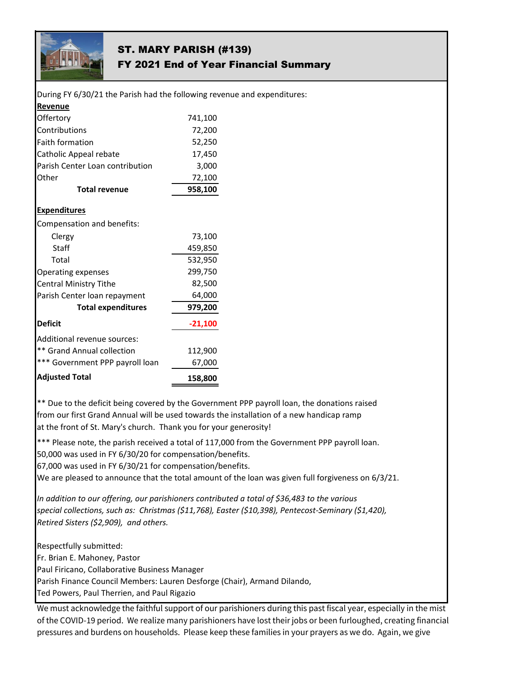

## ST. MARY PARISH (#139) FY 2021 End of Year Financial Summary

| During FY 6/30/21 the Parish had the following revenue and expenditures: |           |  |
|--------------------------------------------------------------------------|-----------|--|
| Revenue                                                                  |           |  |
| Offertory                                                                | 741,100   |  |
| Contributions                                                            | 72,200    |  |
| <b>Faith formation</b>                                                   | 52,250    |  |
| Catholic Appeal rebate                                                   | 17,450    |  |
| Parish Center Loan contribution                                          | 3,000     |  |
| Other                                                                    | 72,100    |  |
| <b>Total revenue</b>                                                     | 958,100   |  |
| <b>Expenditures</b>                                                      |           |  |
| Compensation and benefits:                                               |           |  |
| Clergy                                                                   | 73,100    |  |
| Staff                                                                    | 459,850   |  |
| Total                                                                    | 532,950   |  |
| <b>Operating expenses</b>                                                | 299,750   |  |
| <b>Central Ministry Tithe</b>                                            | 82,500    |  |
| Parish Center loan repayment                                             | 64,000    |  |
| <b>Total expenditures</b>                                                | 979,200   |  |
| <b>Deficit</b>                                                           | $-21,100$ |  |
| Additional revenue sources:                                              |           |  |
| ** Grand Annual collection                                               | 112,900   |  |
| *** Government PPP payroll loan                                          | 67,000    |  |
| <b>Adjusted Total</b>                                                    | 158,800   |  |

\*\* Due to the deficit being covered by the Government PPP payroll loan, the donations raised from our first Grand Annual will be used towards the installation of a new handicap ramp at the front of St. Mary's church. Thank you for your generosity!

\*\*\* Please note, the parish received a total of 117,000 from the Government PPP payroll loan.

50,000 was used in FY 6/30/20 for compensation/benefits.

67,000 was used in FY 6/30/21 for compensation/benefits.

We are pleased to announce that the total amount of the loan was given full forgiveness on 6/3/21.

*In addition to our offering, our parishioners contributed a total of \$36,483 to the various special collections, such as: Christmas (\$11,768), Easter (\$10,398), Pentecost-Seminary (\$1,420), Retired Sisters (\$2,909), and others.*

Respectfully submitted:

Fr. Brian E. Mahoney, Pastor

Paul Firicano, Collaborative Business Manager

Parish Finance Council Members: Lauren Desforge (Chair), Armand Dilando,

Ted Powers, Paul Therrien, and Paul Rigazio

We must acknowledge the faithful support of our parishioners during this past fiscal year, especially in the mist of the COVID-19 period. We realize many parishioners have lost their jobs or been furloughed, creating financial pressures and burdens on households. Please keep these families in your prayers as we do. Again, we give